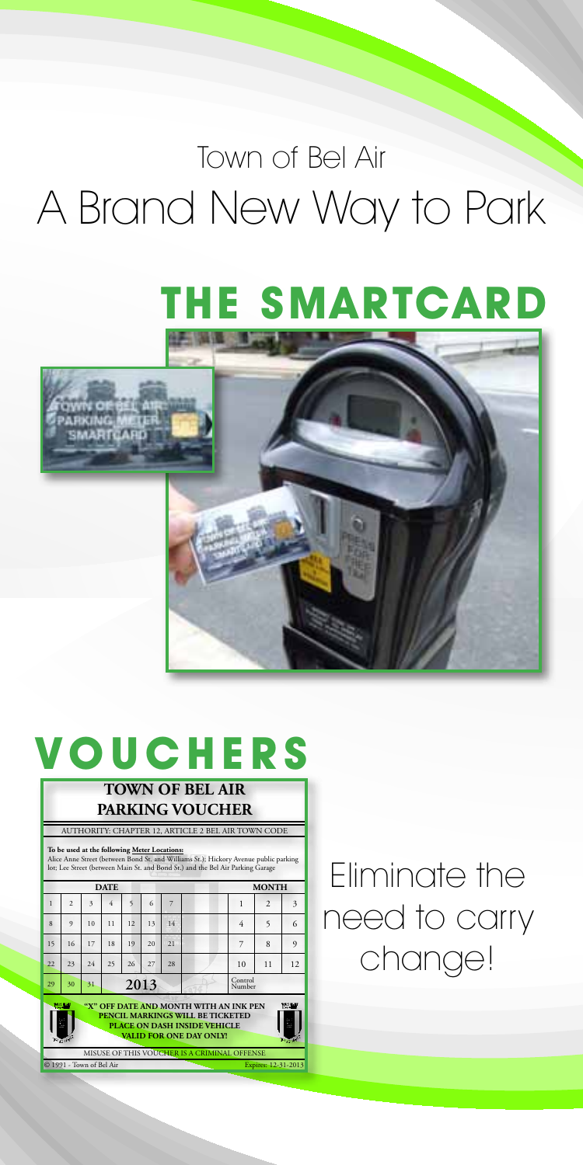## Town of Bel Air A Brand New Way to Park

# **The SmartCard**



### **V o uch e rs TOWN OF BEL AIR**

| <b>PARKING VOUCHER</b>                                                                                                                                                                                                 |                |    |      |    |    |    |  |                   |                          |    |  |
|------------------------------------------------------------------------------------------------------------------------------------------------------------------------------------------------------------------------|----------------|----|------|----|----|----|--|-------------------|--------------------------|----|--|
| AUTHORITY: CHAPTER 12, ARTICLE 2 BEL AIR TOWN CODE                                                                                                                                                                     |                |    |      |    |    |    |  |                   |                          |    |  |
| To be used at the following Meter Locations:<br>Alice Anne Street (between Bond St. and Williams St.); Hickory Avenue public parking<br>lot; Lee Street (between Main St. and Bond St.) and the Bel Air Parking Garage |                |    |      |    |    |    |  |                   |                          |    |  |
| <b>DATE</b>                                                                                                                                                                                                            |                |    |      |    |    |    |  | <b>MONTH</b>      |                          |    |  |
| $\mathbf{1}$                                                                                                                                                                                                           | $\overline{ }$ | 3  |      | ς  | 6  |    |  | 1                 | $\overline{\mathcal{L}}$ | 3  |  |
| $\boldsymbol{\hat{\mathsf{x}}}$                                                                                                                                                                                        | $\mathbf Q$    | 10 | 11   | 12 | 13 | 14 |  | 4                 | $\varsigma$              | 6  |  |
| 15                                                                                                                                                                                                                     | 16             | 17 | 18   | 19 | 20 | 21 |  | 7                 | $\mathbf{8}$             | 9  |  |
| 22                                                                                                                                                                                                                     | 23             | 24 | 25   | 26 | 27 | 28 |  | 10                | 11                       | 12 |  |
| 29                                                                                                                                                                                                                     | 30             | 31 | 2013 |    |    |    |  | Control<br>Number |                          |    |  |
| "X" OFF DATE AND MONTH WITH AN INK PEN<br><b>PRIME</b><br>PENCIL MARKINGS WILL BE TICKETED<br>PLACE ON DASH INSIDE VEHICLE<br>VALID FOR ONE DAY ONLY<br>$\epsilon = \epsilon$                                          |                |    |      |    |    |    |  |                   |                          |    |  |
| MISUSE OF THIS VOUCHER IS A CRIMINAL OFFENSE<br>@ 1991 - Town of Bel Air<br>Expires: 12-31-2013                                                                                                                        |                |    |      |    |    |    |  |                   |                          |    |  |

Eliminate the need to carry change!